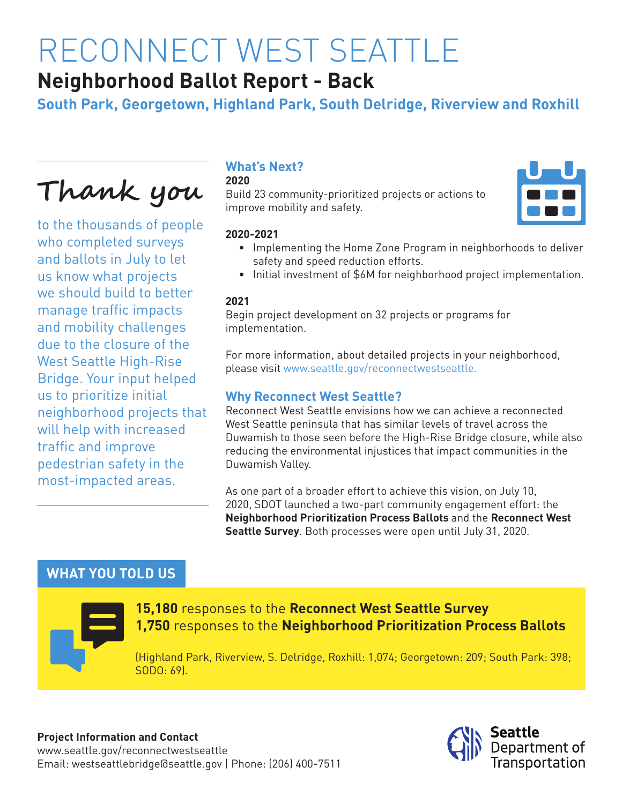# RECONNECT WEST SEATTLE

# **Neighborhood Ballot Report - Back**

**South Park, Georgetown, Highland Park, South Delridge, Riverview and Roxhill**

**Thank you** 

to the thousands of people who completed surveys and ballots in July to let us know what projects we should build to better manage traffic impacts and mobility challenges due to the closure of the West Seattle High-Rise Bridge. Your input helped us to prioritize initial neighborhood projects that will help with increased traffic and improve pedestrian safety in the most-impacted areas.

# **What's Next?**

#### **2020**

Build 23 community-prioritized projects or actions to improve mobility and safety.

#### **2020-2021**

- Implementing the Home Zone Program in neighborhoods to deliver safety and speed reduction efforts.
- Initial investment of \$6M for neighborhood project implementation.

#### **2021**

Begin project development on 32 projects or programs for implementation.

For more information, about detailed projects in your neighborhood, please visit www.seattle.gov/reconnectwestseattle.

#### **Why Reconnect West Seattle?**

Reconnect West Seattle envisions how we can achieve a reconnected West Seattle peninsula that has similar levels of travel across the Duwamish to those seen before the High-Rise Bridge closure, while also reducing the environmental injustices that impact communities in the Duwamish Valley.

As one part of a broader effort to achieve this vision, on July 10, 2020, SDOT launched a two-part community engagement effort: the **Neighborhood Prioritization Process Ballots** and the **Reconnect West Seattle Survey**. Both processes were open until July 31, 2020.

# **WHAT YOU TOLD US**



#### **15,180** responses to the **Reconnect West Seattle Survey 1,750** responses to the **Neighborhood Prioritization Process Ballots**

(Highland Park, Riverview, S. Delridge, Roxhill: 1,074; Georgetown: 209; South Park: 398; SODO: 69).